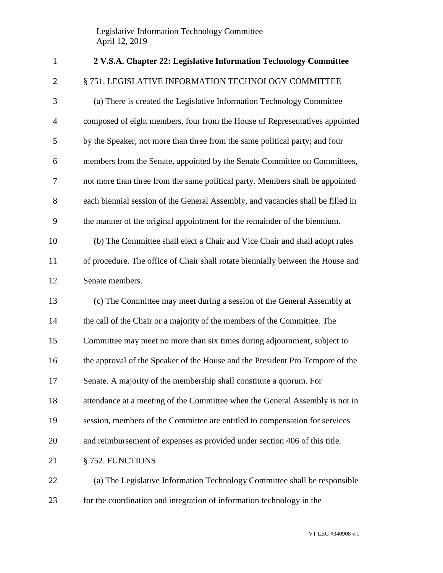Legislative Information Technology Committee April 12, 2019

| $\mathbf{1}$   | 2 V.S.A. Chapter 22: Legislative Information Technology Committee               |
|----------------|---------------------------------------------------------------------------------|
| $\overline{2}$ | § 751. LEGISLATIVE INFORMATION TECHNOLOGY COMMITTEE                             |
| 3              | (a) There is created the Legislative Information Technology Committee           |
| $\overline{4}$ | composed of eight members, four from the House of Representatives appointed     |
| 5              | by the Speaker, not more than three from the same political party; and four     |
| 6              | members from the Senate, appointed by the Senate Committee on Committees,       |
| $\tau$         | not more than three from the same political party. Members shall be appointed   |
| $8\,$          | each biennial session of the General Assembly, and vacancies shall be filled in |
| 9              | the manner of the original appointment for the remainder of the biennium.       |
| 10             | (b) The Committee shall elect a Chair and Vice Chair and shall adopt rules      |
| 11             | of procedure. The office of Chair shall rotate biennially between the House and |
| 12             | Senate members.                                                                 |
| 13             | (c) The Committee may meet during a session of the General Assembly at          |
| 14             | the call of the Chair or a majority of the members of the Committee. The        |
| 15             | Committee may meet no more than six times during adjournment, subject to        |
| 16             | the approval of the Speaker of the House and the President Pro Tempore of the   |
| 17             | Senate. A majority of the membership shall constitute a quorum. For             |
| 18             | attendance at a meeting of the Committee when the General Assembly is not in    |
| 19             | session, members of the Committee are entitled to compensation for services     |
| 20             | and reimbursement of expenses as provided under section 406 of this title.      |
| 21             | § 752. FUNCTIONS                                                                |
| 22             | (a) The Legislative Information Technology Committee shall be responsible       |
| 23             | for the coordination and integration of information technology in the           |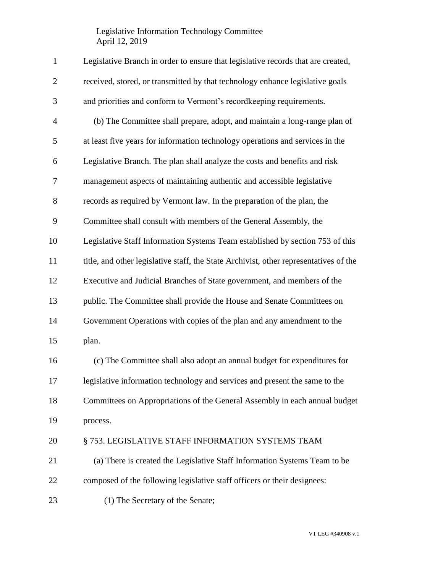## Legislative Information Technology Committee April 12, 2019

| $\mathbf{1}$   | Legislative Branch in order to ensure that legislative records that are created,      |
|----------------|---------------------------------------------------------------------------------------|
| $\mathbf{2}$   | received, stored, or transmitted by that technology enhance legislative goals         |
| 3              | and priorities and conform to Vermont's recordkeeping requirements.                   |
| $\overline{4}$ | (b) The Committee shall prepare, adopt, and maintain a long-range plan of             |
| 5              | at least five years for information technology operations and services in the         |
| 6              | Legislative Branch. The plan shall analyze the costs and benefits and risk            |
| $\tau$         | management aspects of maintaining authentic and accessible legislative                |
| $8\,$          | records as required by Vermont law. In the preparation of the plan, the               |
| 9              | Committee shall consult with members of the General Assembly, the                     |
| 10             | Legislative Staff Information Systems Team established by section 753 of this         |
| 11             | title, and other legislative staff, the State Archivist, other representatives of the |
| 12             | Executive and Judicial Branches of State government, and members of the               |
| 13             | public. The Committee shall provide the House and Senate Committees on                |
| 14             | Government Operations with copies of the plan and any amendment to the                |
| 15             | plan.                                                                                 |
| 16             | (c) The Committee shall also adopt an annual budget for expenditures for              |
| 17             | legislative information technology and services and present the same to the           |
| 18             | Committees on Appropriations of the General Assembly in each annual budget            |
| 19             | process.                                                                              |
| 20             | § 753. LEGISLATIVE STAFF INFORMATION SYSTEMS TEAM                                     |
| 21             | (a) There is created the Legislative Staff Information Systems Team to be             |
| 22             | composed of the following legislative staff officers or their designees:              |
| 23             | (1) The Secretary of the Senate;                                                      |